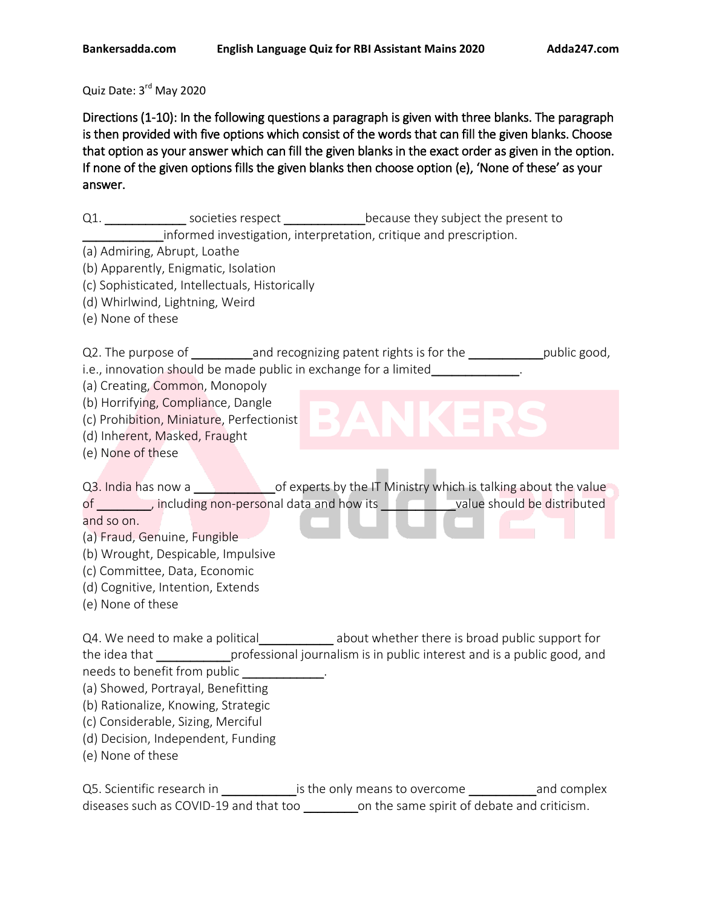Quiz Date: 3<sup>rd</sup> May 2020

Directions (1-10): In the following questions a paragraph is given with three blanks. The paragraph is then provided with five options which consist of the words that can fill the given blanks. Choose that option as your answer which can fill the given blanks in the exact order as given in the option. If none of the given options fills the given blanks then choose option (e), 'None of these' as your answer.

Q1. \_\_\_\_\_\_\_\_\_\_\_\_\_\_\_\_\_ societies respect \_\_\_\_\_\_\_\_\_\_\_\_\_\_\_\_because they subject the present to \_\_\_\_\_\_\_\_\_\_\_\_informed investigation, interpretation, critique and prescription. (a) Admiring, Abrupt, Loathe (b) Apparently, Enigmatic, Isolation (c) Sophisticated, Intellectuals, Historically (d) Whirlwind, Lightning, Weird (e) None of these Q2. The purpose of \_\_\_\_\_\_\_\_\_\_\_\_\_\_and recognizing patent rights is for the \_\_\_\_\_\_\_\_\_\_\_\_\_\_\_\_public good, i.e., innovation should be made public in exchange for a limited\_\_\_\_\_\_\_\_\_\_\_\_\_\_\_\_ (a) Creating, Common, Monopoly (b) Horrifying, Compliance, Dangle (c) Prohibition, Miniature, Perfectionist (d) Inherent, Masked, Fraught (e) None of these Q3. India has now a \_\_\_\_\_\_\_\_\_\_\_\_\_\_of experts by the IT Ministry which is talking about the value of \_\_\_\_\_\_\_\_, including non-personal data and how its \_\_\_\_\_\_\_\_\_\_\_\_\_value should be distributed and so on. (a) Fraud, Genuine, Fungible (b) Wrought, Despicable, Impulsive (c) Committee, Data, Economic (d) Cognitive, Intention, Extends (e) None of these Q4. We need to make a political \_\_\_\_\_\_\_\_\_\_ about whether there is broad public support for the idea that \_\_\_\_\_\_\_\_\_\_\_\_\_professional journalism is in public interest and is a public good, and needs to benefit from public **wave as a set of the set of the set of the set of the set of the set of the set o** (a) Showed, Portrayal, Benefitting (b) Rationalize, Knowing, Strategic (c) Considerable, Sizing, Merciful (d) Decision, Independent, Funding (e) None of these

Q5. Scientific research in The state only means to overcome and complex diseases such as COVID-19 and that too \_\_\_\_\_\_\_\_\_\_on the same spirit of debate and criticism.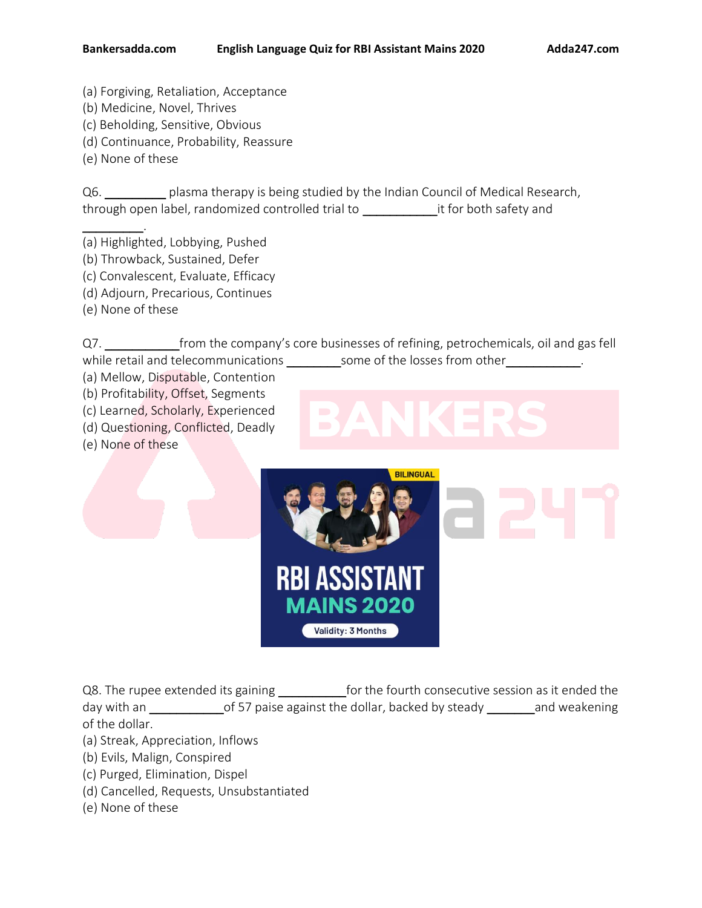- (a) Forgiving, Retaliation, Acceptance
- (b) Medicine, Novel, Thrives
- (c) Beholding, Sensitive, Obvious
- (d) Continuance, Probability, Reassure
- (e) None of these

\_\_\_\_\_\_\_\_\_.

Q6. \_\_\_\_\_\_\_\_\_ plasma therapy is being studied by the Indian Council of Medical Research, through open label, randomized controlled trial to \_\_\_\_\_\_\_\_\_\_\_it for both safety and

(a) Highlighted, Lobbying, Pushed

- (b) Throwback, Sustained, Defer
- (c) Convalescent, Evaluate, Efficacy
- (d) Adjourn, Precarious, Continues
- (e) None of these

Q7. \_\_\_\_\_\_\_\_\_\_\_\_\_\_\_\_from the company's core businesses of refining, petrochemicals, oil and gas fell while retail and telecommunications \_\_\_\_\_\_\_\_\_ some of the losses from other

(a) Mellow, Disputable, Contention

(b) Profitability, Offset, Segments

- (c) Learned, Scholarly, Experienced
- (d) Questioning, Conflicted, Deadly
- (e) None of these



Q8. The rupee extended its gaining \_\_\_\_\_\_\_\_\_\_\_for the fourth consecutive session as it ended the day with an \_\_\_\_\_\_\_\_\_\_\_\_\_\_\_of 57 paise against the dollar, backed by steady \_\_\_\_\_\_\_\_\_\_and weakening of the dollar.

- (a) Streak, Appreciation, Inflows
- (b) Evils, Malign, Conspired
- (c) Purged, Elimination, Dispel
- (d) Cancelled, Requests, Unsubstantiated
- (e) None of these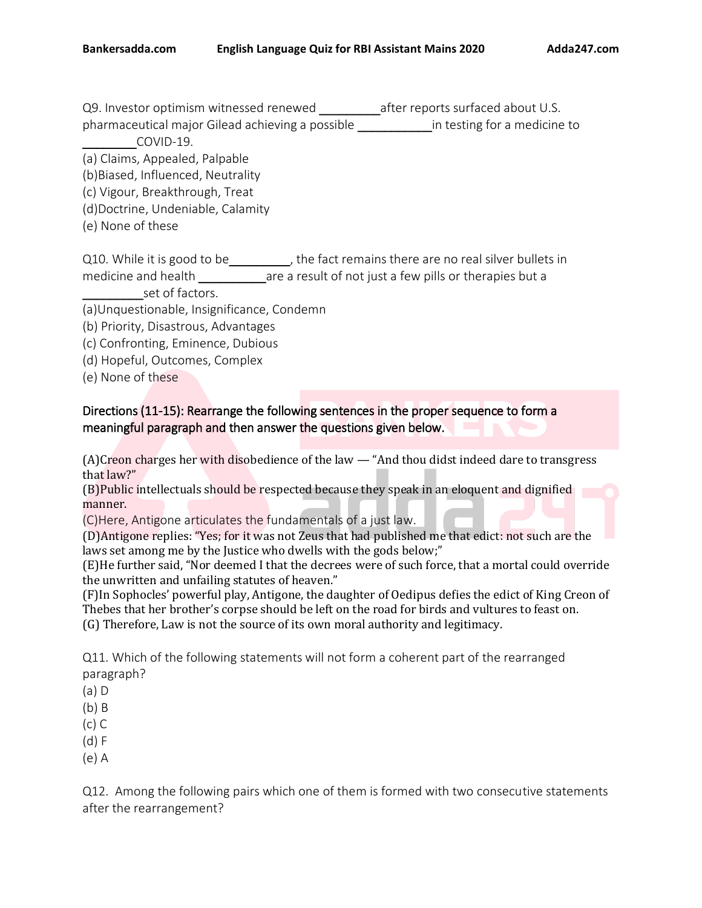Q9. Investor optimism witnessed renewed \_\_\_\_\_\_\_\_\_\_\_\_ after reports surfaced about U.S. pharmaceutical major Gilead achieving a possible \_\_\_\_\_\_\_\_\_\_\_in testing for a medicine to

\_\_\_\_\_\_\_\_COVID-19.

(a) Claims, Appealed, Palpable

(b)Biased, Influenced, Neutrality

(c) Vigour, Breakthrough, Treat

(d)Doctrine, Undeniable, Calamity

(e) None of these

Q10. While it is good to be\_\_\_\_\_\_\_\_, the fact remains there are no real silver bullets in medicine and health and same a result of not just a few pills or therapies but a set of factors.

(a)Unquestionable, Insignificance, Condemn

(b) Priority, Disastrous, Advantages

(c) Confronting, Eminence, Dubious

(d) Hopeful, Outcomes, Complex

(e) None of these

Directions (11-15): Rearrange the following sentences in the proper sequence to form a meaningful paragraph and then answer the questions given below.

(A)Creon charges her with disobedience of the law — "And thou didst indeed dare to transgress that law?"

(B)Public intellectuals should be respected because they speak in an eloquent and dignified manner.

(C)Here, Antigone articulates the fundamentals of a just law.

(D)Antigone replies: "Yes; for it was not Zeus that had published me that edict: not such are the laws set among me by the Justice who dwells with the gods below;"

(E)He further said, "Nor deemed I that the decrees were of such force, that a mortal could override the unwritten and unfailing statutes of heaven."

(F)In Sophocles' powerful play, Antigone, the daughter of Oedipus defies the edict of King Creon of Thebes that her brother's corpse should be left on the road for birds and vultures to feast on. (G) Therefore, Law is not the source of its own moral authority and legitimacy.

Q11. Which of the following statements will not form a coherent part of the rearranged paragraph?

(a) D

(b) B

(c) C

(d) F

(e) A

Q12. Among the following pairs which one of them is formed with two consecutive statements after the rearrangement?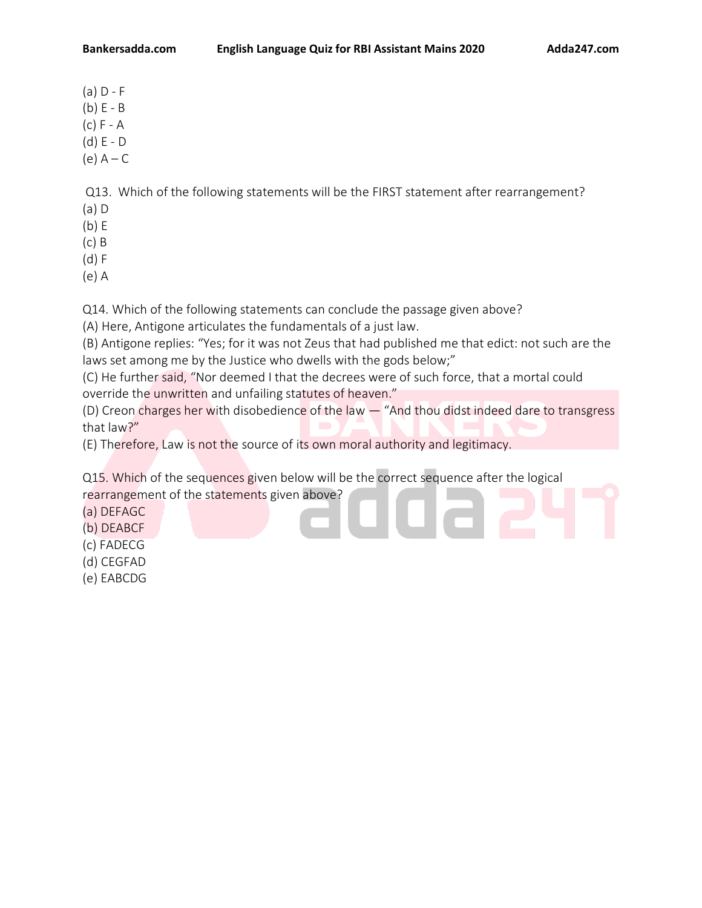- $(a)$  D F
- (b) E B
- (c) F A
- (d) E D
- $(e)$   $A C$

Q13. Which of the following statements will be the FIRST statement after rearrangement?

- (a) D
- (b) E
- (c) B
- (d) F
- (e) A

Q14. Which of the following statements can conclude the passage given above?

(A) Here, Antigone articulates the fundamentals of a just law.

(B) Antigone replies: "Yes; for it was not Zeus that had published me that edict: not such are the laws set among me by the Justice who dwells with the gods below;"

(C) He further said, "Nor deemed I that the decrees were of such force, that a mortal could override the unwritten and unfailing statutes of heaven."

(D) Creon charges her with disobedience of the law — "And thou didst indeed dare to transgress that law?"

(E) Therefore, Law is not the source of its own moral authority and legitimacy.

Q15. Which of the sequences given below will be the correct sequence after the logical rearrangement of the statements given above?

- (a) DEFAGC
- (b) DEABCF
- (c) FADECG
- (d) CEGFAD
- (e) EABCDG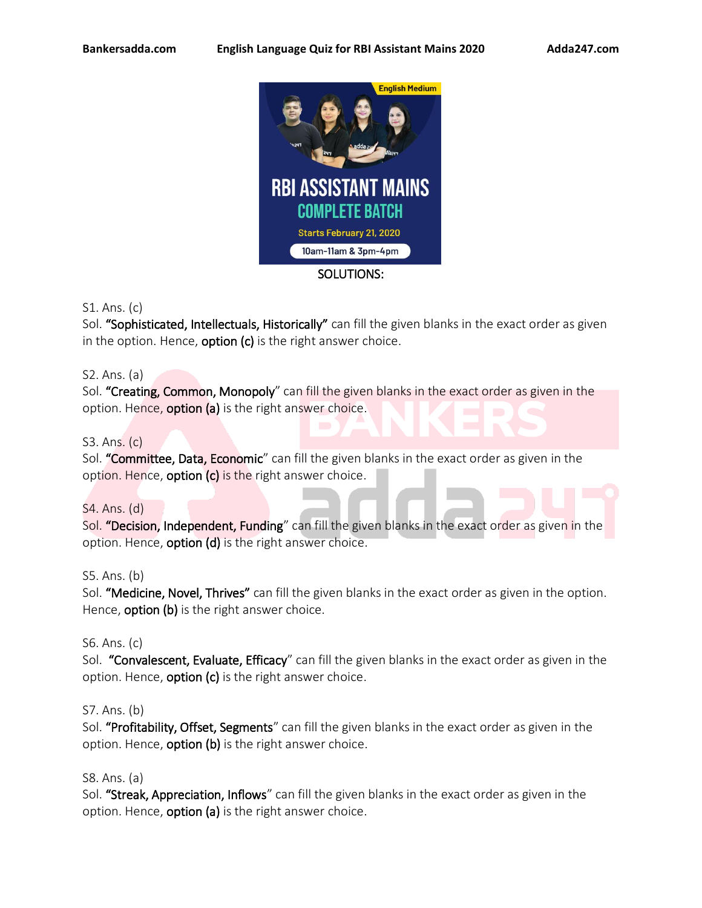

## S1. Ans. (c)

Sol. "Sophisticated, Intellectuals, Historically" can fill the given blanks in the exact order as given in the option. Hence, **option**  $(c)$  is the right answer choice.

## S2. Ans. (a)

Sol. "Creating, Common, Monopoly" can fill the given blanks in the exact order as given in the option. Hence, **option (a)** is the right answer choice.

## S3. Ans. (c)

Sol. "Committee, Data, Economic" can fill the given blanks in the exact order as given in the option. Hence, option (c) is the right answer choice.

#### S4. Ans. (d)

Sol. "Decision, Independent, Funding" can fill the given blanks in the exact order as given in the option. Hence, option (d) is the right answer choice.

#### S5. Ans. (b)

Sol. "Medicine, Novel, Thrives" can fill the given blanks in the exact order as given in the option. Hence, **option (b)** is the right answer choice.

#### S6. Ans. (c)

Sol. "Convalescent, Evaluate, Efficacy" can fill the given blanks in the exact order as given in the option. Hence, **option (c)** is the right answer choice.

#### S7. Ans. (b)

Sol. "Profitability, Offset, Segments" can fill the given blanks in the exact order as given in the option. Hence, **option (b)** is the right answer choice.

#### S8. Ans. (a)

Sol. "Streak, Appreciation, Inflows" can fill the given blanks in the exact order as given in the option. Hence, **option (a)** is the right answer choice.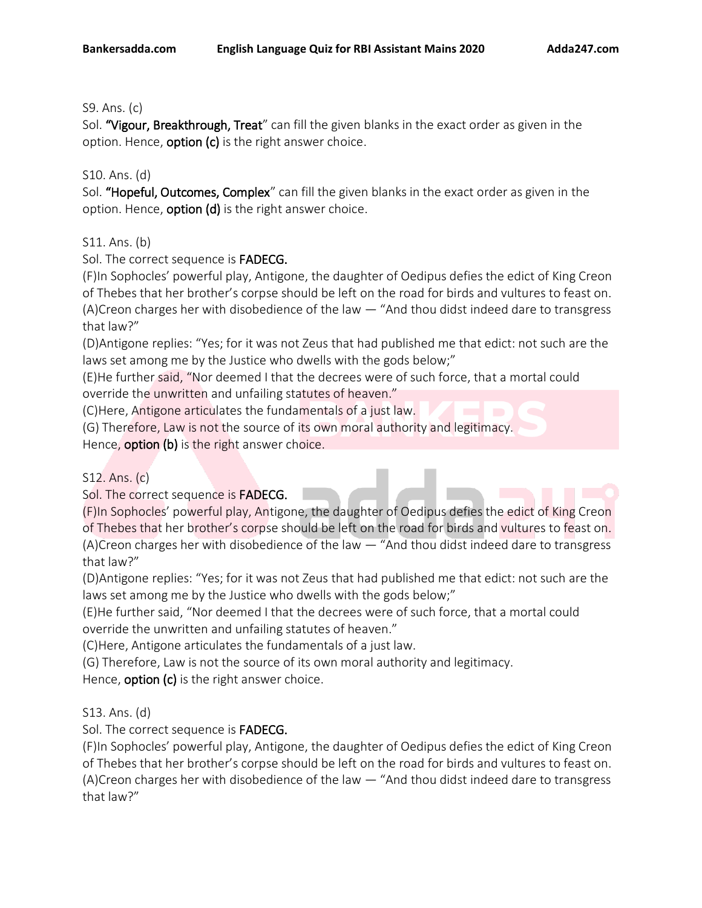# S9. Ans. (c)

Sol. "Vigour, Breakthrough, Treat" can fill the given blanks in the exact order as given in the option. Hence, **option (c)** is the right answer choice.

# S10. Ans. (d)

Sol. "Hopeful, Outcomes, Complex" can fill the given blanks in the exact order as given in the option. Hence, **option (d)** is the right answer choice.

# S11. Ans. (b)

Sol. The correct sequence is FADECG.

(F)In Sophocles' powerful play, Antigone, the daughter of Oedipus defies the edict of King Creon of Thebes that her brother's corpse should be left on the road for birds and vultures to feast on. (A)Creon charges her with disobedience of the law — "And thou didst indeed dare to transgress that law?"

(D)Antigone replies: "Yes; for it was not Zeus that had published me that edict: not such are the laws set among me by the Justice who dwells with the gods below;"

(E)He further said, "Nor deemed I that the decrees were of such force, that a mortal could override the unwritten and unfailing statutes of heaven."

(C)Here, Antigone articulates the fundamentals of a just law.

(G) Therefore, Law is not the source of its own moral authority and legitimacy.

Hence, **option (b)** is the right answer choice.

# S12. Ans. (c)

Sol. The correct sequence is FADECG.

(F)In Sophocles' powerful play, Antigone, the daughter of Oedipus defies the edict of King Creon of Thebes that her brother's corpse should be left on the road for birds and vultures to feast on. (A)Creon charges her with disobedience of the law — "And thou didst indeed dare to transgress that law?"

(D)Antigone replies: "Yes; for it was not Zeus that had published me that edict: not such are the laws set among me by the Justice who dwells with the gods below;"

(E)He further said, "Nor deemed I that the decrees were of such force, that a mortal could override the unwritten and unfailing statutes of heaven."

(C)Here, Antigone articulates the fundamentals of a just law.

(G) Therefore, Law is not the source of its own moral authority and legitimacy.

Hence, **option (c)** is the right answer choice.

# S13. Ans. (d)

Sol. The correct sequence is FADECG.

(F)In Sophocles' powerful play, Antigone, the daughter of Oedipus defies the edict of King Creon of Thebes that her brother's corpse should be left on the road for birds and vultures to feast on. (A)Creon charges her with disobedience of the law — "And thou didst indeed dare to transgress that law?"